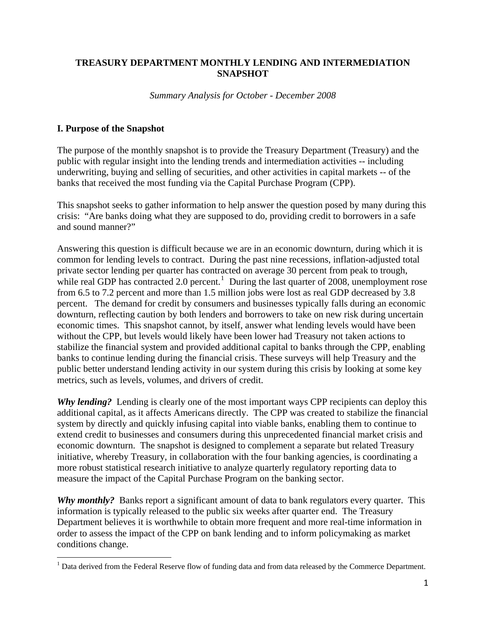## **TREASURY DEPARTMENT MONTHLY LENDING AND INTERMEDIATION SNAPSHOT**

*Summary Analysis for October - December 2008* 

### **I. Purpose of the Snapshot**

 $\overline{a}$ 

The purpose of the monthly snapshot is to provide the Treasury Department (Treasury) and the public with regular insight into the lending trends and intermediation activities -- including underwriting, buying and selling of securities, and other activities in capital markets -- of the banks that received the most funding via the Capital Purchase Program (CPP).

This snapshot seeks to gather information to help answer the question posed by many during this crisis: "Are banks doing what they are supposed to do, providing credit to borrowers in a safe and sound manner?"

Answering this question is difficult because we are in an economic downturn, during which it is common for lending levels to contract. During the past nine recessions, inflation-adjusted total private sector lending per quarter has contracted on average 30 percent from peak to trough, while real GDP has contracted 2.0 percent.<sup>1</sup> During the last quarter of 2008, unemployment rose from 6.5 to 7.2 percent and more than 1.5 million jobs were lost as real GDP decreased by 3.8 percent. The demand for credit by consumers and businesses typically falls during an economic downturn, reflecting caution by both lenders and borrowers to take on new risk during uncertain economic times. This snapshot cannot, by itself, answer what lending levels would have been without the CPP, but levels would likely have been lower had Treasury not taken actions to stabilize the financial system and provided additional capital to banks through the CPP, enabling banks to continue lending during the financial crisis. These surveys will help Treasury and the public better understand lending activity in our system during this crisis by looking at some key metrics, such as levels, volumes, and drivers of credit.

*Why lending?* Lending is clearly one of the most important ways CPP recipients can deploy this additional capital, as it affects Americans directly. The CPP was created to stabilize the financial system by directly and quickly infusing capital into viable banks, enabling them to continue to extend credit to businesses and consumers during this unprecedented financial market crisis and economic downturn. The snapshot is designed to complement a separate but related Treasury initiative, whereby Treasury, in collaboration with the four banking agencies, is coordinating a more robust statistical research initiative to analyze quarterly regulatory reporting data to measure the impact of the Capital Purchase Program on the banking sector.

*Why monthly?* Banks report a significant amount of data to bank regulators every quarter. This information is typically released to the public six weeks after quarter end. The Treasury Department believes it is worthwhile to obtain more frequent and more real-time information in order to assess the impact of the CPP on bank lending and to inform policymaking as market conditions change.

<sup>&</sup>lt;sup>1</sup> Data derived from the Federal Reserve flow of funding data and from data released by the Commerce Department.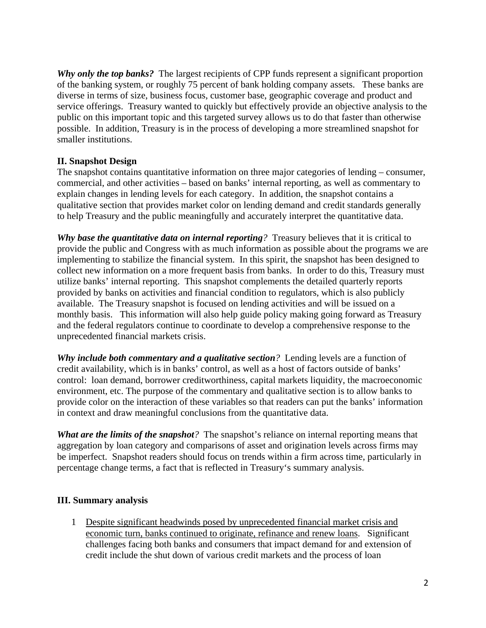*Why only the top banks?* The largest recipients of CPP funds represent a significant proportion of the banking system, or roughly 75 percent of bank holding company assets. These banks are diverse in terms of size, business focus, customer base, geographic coverage and product and service offerings. Treasury wanted to quickly but effectively provide an objective analysis to the public on this important topic and this targeted survey allows us to do that faster than otherwise possible. In addition, Treasury is in the process of developing a more streamlined snapshot for smaller institutions.

## **II. Snapshot Design**

The snapshot contains quantitative information on three major categories of lending – consumer, commercial, and other activities – based on banks' internal reporting, as well as commentary to explain changes in lending levels for each category. In addition, the snapshot contains a qualitative section that provides market color on lending demand and credit standards generally to help Treasury and the public meaningfully and accurately interpret the quantitative data.

*Why base the quantitative data on internal reporting?* Treasury believes that it is critical to provide the public and Congress with as much information as possible about the programs we are implementing to stabilize the financial system. In this spirit, the snapshot has been designed to collect new information on a more frequent basis from banks. In order to do this, Treasury must utilize banks' internal reporting. This snapshot complements the detailed quarterly reports provided by banks on activities and financial condition to regulators, which is also publicly available. The Treasury snapshot is focused on lending activities and will be issued on a monthly basis. This information will also help guide policy making going forward as Treasury and the federal regulators continue to coordinate to develop a comprehensive response to the unprecedented financial markets crisis.

*Why include both commentary and a qualitative section?* Lending levels are a function of credit availability, which is in banks' control, as well as a host of factors outside of banks' control: loan demand, borrower creditworthiness, capital markets liquidity, the macroeconomic environment, etc. The purpose of the commentary and qualitative section is to allow banks to provide color on the interaction of these variables so that readers can put the banks' information in context and draw meaningful conclusions from the quantitative data.

*What are the limits of the snapshot?* The snapshot's reliance on internal reporting means that aggregation by loan category and comparisons of asset and origination levels across firms may be imperfect. Snapshot readers should focus on trends within a firm across time, particularly in percentage change terms, a fact that is reflected in Treasury's summary analysis.

#### **III. Summary analysis**

1 Despite significant headwinds posed by unprecedented financial market crisis and economic turn, banks continued to originate, refinance and renew loans. Significant challenges facing both banks and consumers that impact demand for and extension of credit include the shut down of various credit markets and the process of loan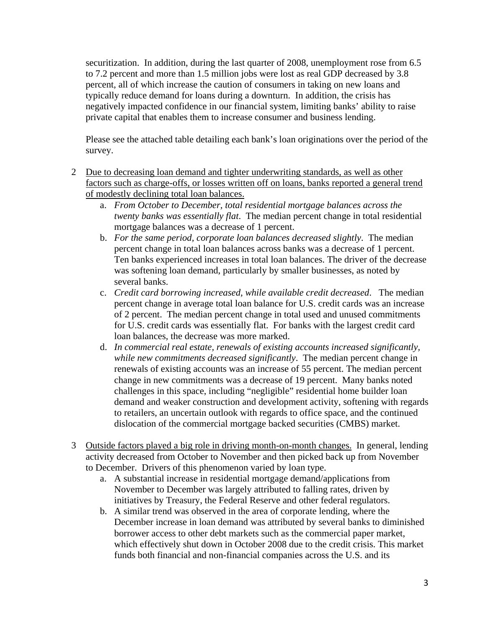securitization. In addition, during the last quarter of 2008, unemployment rose from 6.5 to 7.2 percent and more than 1.5 million jobs were lost as real GDP decreased by 3.8 percent, all of which increase the caution of consumers in taking on new loans and typically reduce demand for loans during a downturn. In addition, the crisis has negatively impacted confidence in our financial system, limiting banks' ability to raise private capital that enables them to increase consumer and business lending.

Please see the attached table detailing each bank's loan originations over the period of the survey.

- 2 Due to decreasing loan demand and tighter underwriting standards, as well as other factors such as charge-offs, or losses written off on loans, banks reported a general trend of modestly declining total loan balances.
	- a. *From October to December, total residential mortgage balances across the twenty banks was essentially flat*. The median percent change in total residential mortgage balances was a decrease of 1 percent.
	- b. *For the same period, corporate loan balances decreased slightly*. The median percent change in total loan balances across banks was a decrease of 1 percent. Ten banks experienced increases in total loan balances. The driver of the decrease was softening loan demand, particularly by smaller businesses, as noted by several banks.
	- c. *Credit card borrowing increased, while available credit decreased*. The median percent change in average total loan balance for U.S. credit cards was an increase of 2 percent. The median percent change in total used and unused commitments for U.S. credit cards was essentially flat. For banks with the largest credit card loan balances, the decrease was more marked.
	- d. *In commercial real estate, renewals of existing accounts increased significantly, while new commitments decreased significantly*. The median percent change in renewals of existing accounts was an increase of 55 percent. The median percent change in new commitments was a decrease of 19 percent. Many banks noted challenges in this space, including "negligible" residential home builder loan demand and weaker construction and development activity, softening with regards to retailers, an uncertain outlook with regards to office space, and the continued dislocation of the commercial mortgage backed securities (CMBS) market.
- 3 Outside factors played a big role in driving month-on-month changes. In general, lending activity decreased from October to November and then picked back up from November to December. Drivers of this phenomenon varied by loan type.
	- a. A substantial increase in residential mortgage demand/applications from November to December was largely attributed to falling rates, driven by initiatives by Treasury, the Federal Reserve and other federal regulators.
	- b. A similar trend was observed in the area of corporate lending, where the December increase in loan demand was attributed by several banks to diminished borrower access to other debt markets such as the commercial paper market, which effectively shut down in October 2008 due to the credit crisis. This market funds both financial and non-financial companies across the U.S. and its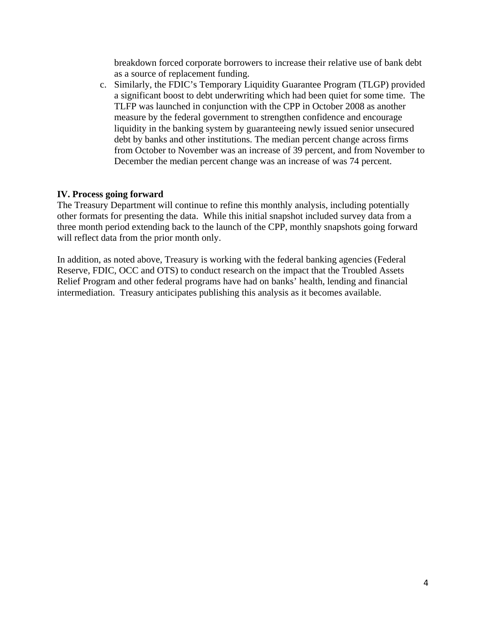breakdown forced corporate borrowers to increase their relative use of bank debt as a source of replacement funding.

c. Similarly, the FDIC's Temporary Liquidity Guarantee Program (TLGP) provided a significant boost to debt underwriting which had been quiet for some time. The TLFP was launched in conjunction with the CPP in October 2008 as another measure by the federal government to strengthen confidence and encourage liquidity in the banking system by guaranteeing newly issued senior unsecured debt by banks and other institutions. The median percent change across firms from October to November was an increase of 39 percent, and from November to December the median percent change was an increase of was 74 percent.

### **IV. Process going forward**

The Treasury Department will continue to refine this monthly analysis, including potentially other formats for presenting the data. While this initial snapshot included survey data from a three month period extending back to the launch of the CPP, monthly snapshots going forward will reflect data from the prior month only.

In addition, as noted above, Treasury is working with the federal banking agencies (Federal Reserve, FDIC, OCC and OTS) to conduct research on the impact that the Troubled Assets Relief Program and other federal programs have had on banks' health, lending and financial intermediation. Treasury anticipates publishing this analysis as it becomes available.